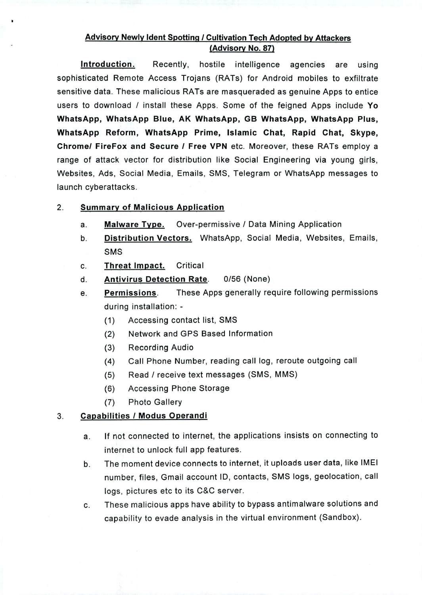## **Advisory Newly !dent Spotting / Cultivation Tech Adopted by Attackers (Advisory No. 87)**

**Introduction.** Recently, hostile intelligence agencies are using sophisticated Remote Access Trojans (RATs) for Android mobiles to exfiltrate sensitive data. These malicious RATs are masqueraded as genuine Apps to entice users to download / install these Apps. Some of the feigned Apps include **Yo WhatsApp, WhatsApp Blue, AK WhatsApp, GB WhatsApp, WhatsApp Plus, WhatsApp Reform, WhatsApp Prime, Islamic Chat, Rapid Chat, Skype, Chrome/ FireFox and Secure / Free VPN** etc. Moreover, these RATs employ a range of attack vector for distribution like Social Engineering via young girls, Websites, Ads, Social Media, Emails, SMS, Telegram or WhatsApp messages to launch cyberattacks.

## 2. **Summary of Malicious Application**

- **Malware Type.** Over-permissive / Data Mining Application а.
- **Distribution Vectors.** WhatsApp, Social Media, Websites, Emails, b. SMS
- **Threat Impact.** Critical C.
- **Antivirus Detection Rate.** 0/56 (None) d.
- **Permissions.** These Apps generally require following permissions e. during installation: -
	- $(1)$ Accessing contact list, SMS
	- $(2)$ Network and GPS Based Information
	- $(3)$ Recording Audio
	- Call Phone Number, reading call log, reroute outgoing call  $(4)$
	- Read / receive text messages (SMS, MMS)  $(5)$
	- Accessing Phone Storage  $(6)$
	- $(7)$ Photo Gallery

## **Capabilities / Modus Operandi**  3.

- If not connected to internet, the applications insists on connecting to a. internet to unlock full app features.
- The moment device connects to internet, it uploads user data, like IMEI b. number, files, Gmail account ID, contacts, SMS logs, geolocation, call logs, pictures etc to its C&C server.
- These malicious apps have ability to bypass antimalware solutions and C. capability to evade analysis in the virtual environment (Sandbox).